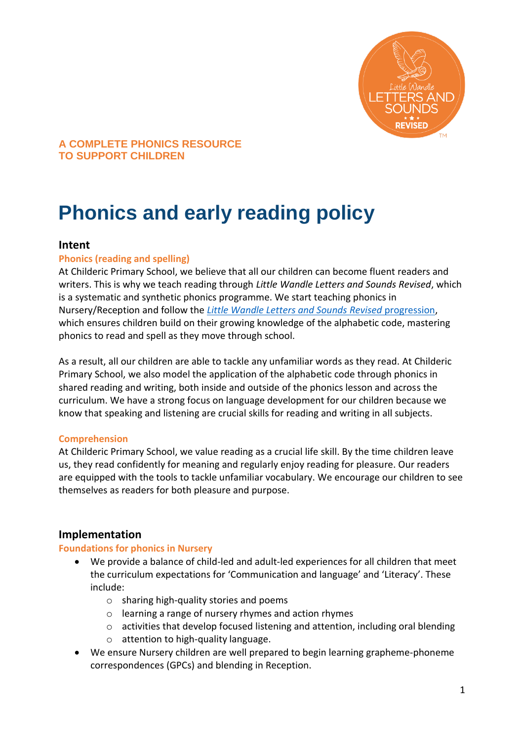

# **Phonics and early reading policy**

# **Intent**

## **Phonics (reading and spelling)**

At Childeric Primary School, we believe that all our children can become fluent readers and writers. This is why we teach reading through *Little Wandle Letters and Sounds Revised*, which is a systematic and synthetic phonics programme. We start teaching phonics in Nursery/Reception and follow the *[Little Wandle Letters and Sounds Revised](https://wandlelearningtrust.sharepoint.com/sites/WTSA2/Shared%20Documents/Forms/AllItems.aspx?csf=1&web=1&e=dA5Kg8&cid=c07c4b6e%2D7eff%2D4834%2Db0a2%2De34e77f1195a&FolderCTID=0x0120002B68E4606EDEEB42917E483D1520364F&id=%2Fsites%2FWTSA2%2FShared%20Documents%2FLetters%20and%20Sounds%2FLetters%20and%20Sounds%20Revised%2FSigned%20off%20files%2FProgramme%20Overview%5FReception%20and%20Year%201%2Epdf&parent=%2Fsites%2FWTSA2%2FShared%20Documents%2FLetters%20and%20Sounds%2FLetters%20and%20Sounds%20Revised%2FSigned%20off%20files)* progression, which ensures children build on their growing knowledge of the alphabetic code, mastering phonics to read and spell as they move through school.

As a result, all our children are able to tackle any unfamiliar words as they read. At Childeric Primary School, we also model the application of the alphabetic code through phonics in shared reading and writing, both inside and outside of the phonics lesson and across the curriculum. We have a strong focus on language development for our children because we know that speaking and listening are crucial skills for reading and writing in all subjects.

## **Comprehension**

At Childeric Primary School, we value reading as a crucial life skill. By the time children leave us, they read confidently for meaning and regularly enjoy reading for pleasure. Our readers are equipped with the tools to tackle unfamiliar vocabulary. We encourage our children to see themselves as readers for both pleasure and purpose.

# **Implementation**

## **Foundations for phonics in Nursery**

- We provide a balance of child-led and adult-led experiences for all children that meet the curriculum expectations for 'Communication and language' and 'Literacy'. These include:
	- o sharing high-quality stories and poems
	- o learning a range of nursery rhymes and action rhymes
	- $\circ$  activities that develop focused listening and attention, including oral blending
	- o attention to high-quality language.
- We ensure Nursery children are well prepared to begin learning grapheme-phoneme correspondences (GPCs) and blending in Reception.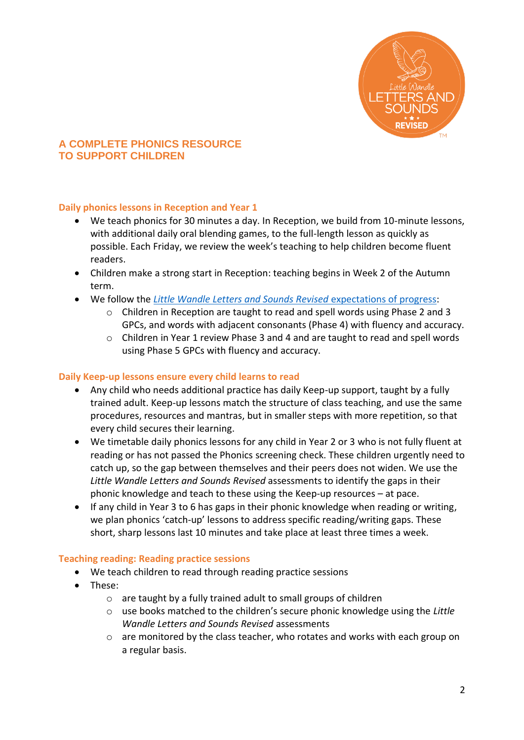

# **Daily phonics lessons in Reception and Year 1**

- We teach phonics for 30 minutes a day. In Reception, we build from 10-minute lessons, with additional daily oral blending games, to the full-length lesson as quickly as possible. Each Friday, we review the week's teaching to help children become fluent readers.
- Children make a strong start in Reception: teaching begins in Week 2 of the Autumn term.
- We follow the *[Little Wandle Letters and Sounds Revised](https://wandlelearningtrust.sharepoint.com/sites/WTSA2/Shared%20Documents/Forms/AllItems.aspx?csf=1&web=1&e=dA5Kg8&cid=c07c4b6e%2D7eff%2D4834%2Db0a2%2De34e77f1195a&FolderCTID=0x0120002B68E4606EDEEB42917E483D1520364F&id=%2Fsites%2FWTSA2%2FShared%20Documents%2FLetters%20and%20Sounds%2FLetters%20and%20Sounds%20Revised%2FSigned%20off%20files%2FProgramme%20Overview%5FReception%20and%20Year%201%2Epdf&parent=%2Fsites%2FWTSA2%2FShared%20Documents%2FLetters%20and%20Sounds%2FLetters%20and%20Sounds%20Revised%2FSigned%20off%20files)* expectations of progress:
	- o Children in Reception are taught to read and spell words using Phase 2 and 3 GPCs, and words with adjacent consonants (Phase 4) with fluency and accuracy.
	- $\circ$  Children in Year 1 review Phase 3 and 4 and are taught to read and spell words using Phase 5 GPCs with fluency and accuracy.

## **Daily Keep-up lessons ensure every child learns to read**

- Any child who needs additional practice has daily Keep-up support, taught by a fully trained adult. Keep-up lessons match the structure of class teaching, and use the same procedures, resources and mantras, but in smaller steps with more repetition, so that every child secures their learning.
- We timetable daily phonics lessons for any child in Year 2 or 3 who is not fully fluent at reading or has not passed the Phonics screening check. These children urgently need to catch up, so the gap between themselves and their peers does not widen. We use the *Little Wandle Letters and Sounds Revised* assessments to identify the gaps in their phonic knowledge and teach to these using the Keep-up resources – at pace.
- If any child in Year 3 to 6 has gaps in their phonic knowledge when reading or writing, we plan phonics 'catch-up' lessons to address specific reading/writing gaps. These short, sharp lessons last 10 minutes and take place at least three times a week.

## **Teaching reading: Reading practice sessions**

- We teach children to read through reading practice sessions
- These:
	- o are taught by a fully trained adult to small groups of children
	- o use books matched to the children's secure phonic knowledge using the *Little Wandle Letters and Sounds Revised* assessments
	- $\circ$  are monitored by the class teacher, who rotates and works with each group on a regular basis.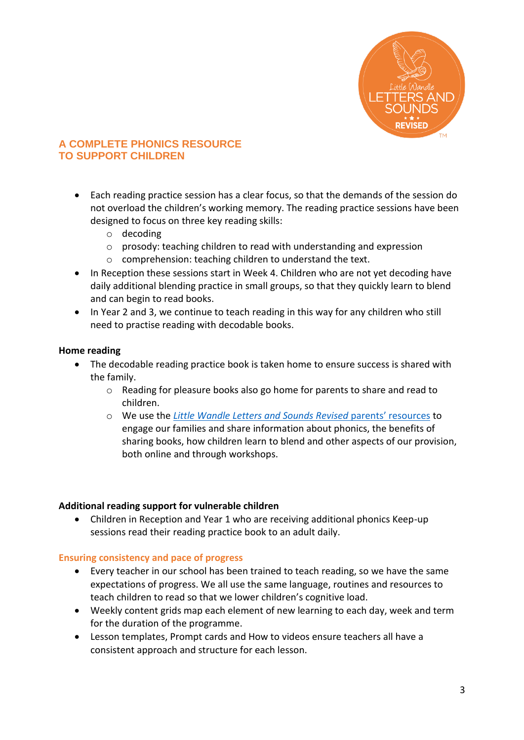

- Each reading practice session has a clear focus, so that the demands of the session do not overload the children's working memory. The reading practice sessions have been designed to focus on three key reading skills:
	- o decoding
	- o prosody: teaching children to read with understanding and expression
	- o comprehension: teaching children to understand the text.
- In Reception these sessions start in Week 4. Children who are not yet decoding have daily additional blending practice in small groups, so that they quickly learn to blend and can begin to read books.
- In Year 2 and 3, we continue to teach reading in this way for any children who still need to practise reading with decodable books.

# **Home reading**

- The decodable reading practice book is taken home to ensure success is shared with the family.
	- $\circ$  Reading for pleasure books also go home for parents to share and read to children.
	- o We use the *[Little Wandle Letters and Sounds Revised](https://www.littlewandlelettersandsounds.org.uk/resources/for-parents/)* parents' resources to engage our families and share information about phonics, the benefits of sharing books, how children learn to blend and other aspects of our provision, both online and through workshops.

## **Additional reading support for vulnerable children**

 Children in Reception and Year 1 who are receiving additional phonics Keep-up sessions read their reading practice book to an adult daily.

## **Ensuring consistency and pace of progress**

- Every teacher in our school has been trained to teach reading, so we have the same expectations of progress. We all use the same language, routines and resources to teach children to read so that we lower children's cognitive load.
- Weekly content grids map each element of new learning to each day, week and term for the duration of the programme.
- Lesson templates, Prompt cards and How to videos ensure teachers all have a consistent approach and structure for each lesson.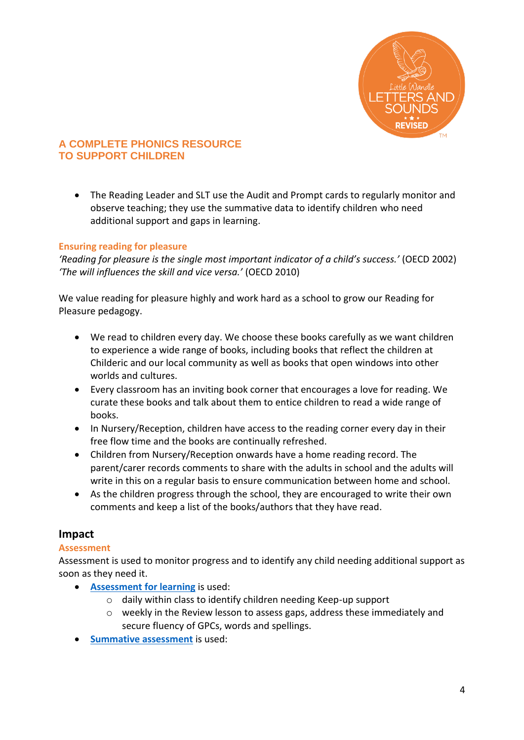

 The Reading Leader and SLT use the Audit and Prompt cards to regularly monitor and observe teaching; they use the summative data to identify children who need additional support and gaps in learning.

# **Ensuring reading for pleasure**

*'Reading for pleasure is the single most important indicator of a child's success.'* (OECD 2002) *'The will influences the skill and vice versa.'* (OECD 2010)

We value reading for pleasure highly and work hard as a school to grow our Reading for Pleasure pedagogy.

- We read to children every day. We choose these books carefully as we want children to experience a wide range of books, including books that reflect the children at Childeric and our local community as well as books that open windows into other worlds and cultures.
- Every classroom has an inviting book corner that encourages a love for reading. We curate these books and talk about them to entice children to read a wide range of books.
- In Nursery/Reception, children have access to the reading corner every day in their free flow time and the books are continually refreshed.
- Children from Nursery/Reception onwards have a home reading record. The parent/carer records comments to share with the adults in school and the adults will write in this on a regular basis to ensure communication between home and school.
- As the children progress through the school, they are encouraged to write their own comments and keep a list of the books/authors that they have read.

# **Impact**

## **Assessment**

Assessment is used to monitor progress and to identify any child needing additional support as soon as they need it.

- **[Assessment for learning](https://www.littlewandlelettersandsounds.org.uk/wp-content/uploads/2021/03/LS-KEY-GUIDANCE-GETTING-STARTED-ASSESSMENT-FINAL.pdf)** is used:
	- o daily within class to identify children needing Keep-up support
	- o weekly in the Review lesson to assess gaps, address these immediately and secure fluency of GPCs, words and spellings.
- **[Summative assessment](https://www.littlewandlelettersandsounds.org.uk/resources/my-letters-and-sounds/assessment-tools/)** is used: